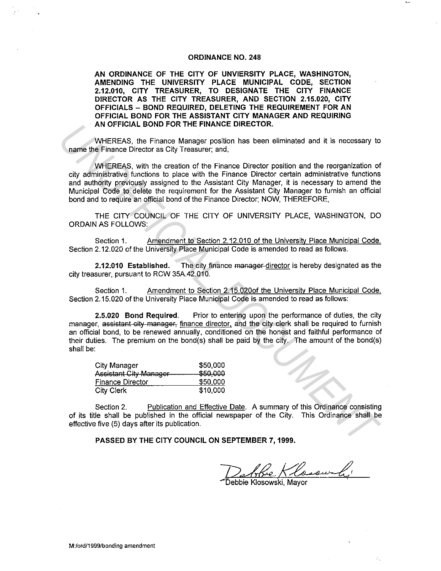## **ORDINANCE NO. 248**

**AN ORDINANCE OF THE CITY OF UNVIERSITY PLACE, WASHINGTON, AMENDING THE UNIVERSITY PLACE MUNICIPAL CODE, SECTION 2.12.010, CITY TREASURER, TO DESIGNATE THE CITY FINANCE DIRECTOR AS THE CITY TREASURER, AND SECTION 2.15.020, CITY OFFICIALS - BOND REQUIRED, DELETING THE REQUIREMENT FOR AN OFFICIAL BOND FOR THE ASSISTANT CITY MANAGER AND REQUIRING AN OFFICIAL BOND FOR THE FINANCE DIRECTOR.** 

WHEREAS, the Finance Manager position has been eliminated and it is necessary to name the Finance Director as City Treasurer; and,

WHEREAS, with the creation of the Finance Director position and the reorganization of city administrative functions to place with the Finance Director certain administrative functions and authority previously assigned to the Assistant City Manager, it is necessary to amend the Municipal Code to delete the requirement for the Assistant City Manager to furnish an official bond and to require an official bond of the Finance Director; NOW, THEREFORE,

THE CITY COUNCIL OF THE CITY OF UNIVERSITY PLACE, WASHINGTON, DO ORDAIN AS FOLLOWS:

Section 1. Amendment to Section 2.12.010 of the University Place Municipal Code. Section 2.12.020 of the University Place Municipal Code is amended to read as follows.

**2.12:010 Established.** The city finance manager director is hereby designated as the city treasurer, pursuant to RCW 35A.42.010.

Section 1. Amendment to Section 2.15.020of the University Place Municipal Code. Section 2.15.020 of the University Place Municipal Code is amended to read as follows:

**2.5.020 Bond Required.** Prior to entering upon the performance of duties, the city manager, assistant city manager, finance director, and the city clerk shall be required to furnish an official bond, to be renewed annually, conditioned on the honest and faithful performance of their duties. The premium on the bond(s) shall be paid by the city. The amount of the bond(s) shall be: **AN OFFICIAL BOND FOR THE FIRANCE DIRECTOR.**<br> **IMMEREAS, with the creation of the Finance Director position and the reorganization of<br>
1976 The Finance Director Test with the Finance Director position and the reorganizatio** 

| City Manager            | \$50,000 |
|-------------------------|----------|
| Assistant City-Manager  | \$50,000 |
| <b>Finance Director</b> | \$50,000 |
| City Clerk              | \$10,000 |

Section 2. Publication and Effective Date. A summary of this Ordinance consisting of its title shall be published in the official newspaper of the City. This Ordinance shall be effective five (5) days after its publication.

**PASSED BY THE CITY COUNCIL ON SEPTEMBER 7, 1999.** 

Dan Ree Klosowa<br>Debbie Klosowski, Mayor